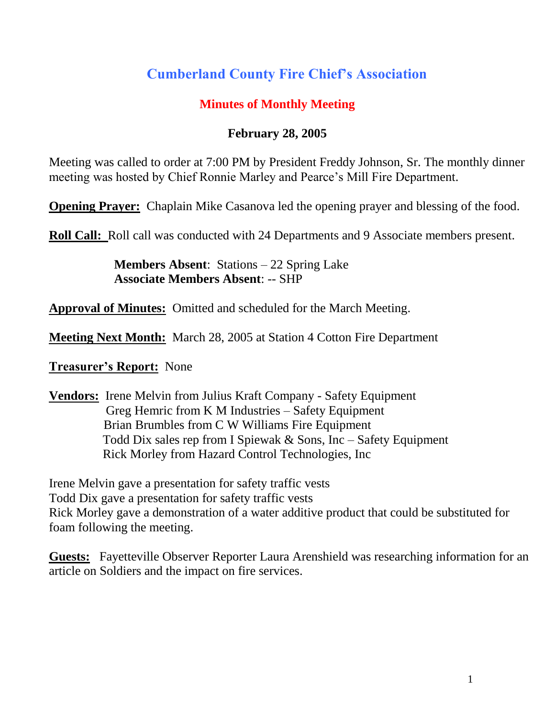# **Cumberland County Fire Chief's Association**

## **Minutes of Monthly Meeting**

### **February 28, 2005**

Meeting was called to order at 7:00 PM by President Freddy Johnson, Sr. The monthly dinner meeting was hosted by Chief Ronnie Marley and Pearce's Mill Fire Department.

**Opening Prayer:** Chaplain Mike Casanova led the opening prayer and blessing of the food.

**Roll Call:** Roll call was conducted with 24 Departments and 9 Associate members present.

**Members Absent**: Stations – 22 Spring Lake **Associate Members Absent**: -- SHP

**Approval of Minutes:** Omitted and scheduled for the March Meeting.

**Meeting Next Month:** March 28, 2005 at Station 4 Cotton Fire Department

**Treasurer's Report:** None

**Vendors:** Irene Melvin from Julius Kraft Company - Safety Equipment Greg Hemric from K M Industries – Safety Equipment Brian Brumbles from C W Williams Fire Equipment Todd Dix sales rep from I Spiewak & Sons, Inc – Safety Equipment Rick Morley from Hazard Control Technologies, Inc

Irene Melvin gave a presentation for safety traffic vests Todd Dix gave a presentation for safety traffic vests Rick Morley gave a demonstration of a water additive product that could be substituted for foam following the meeting.

**Guests:** Fayetteville Observer Reporter Laura Arenshield was researching information for an article on Soldiers and the impact on fire services.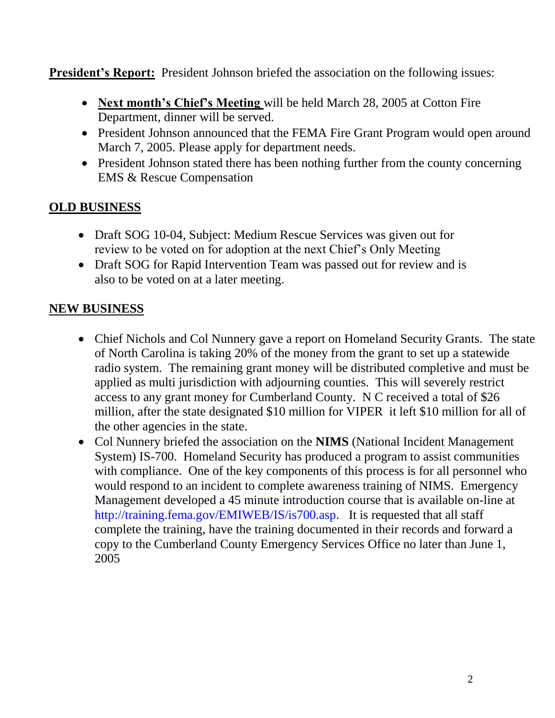**President's Report:** President Johnson briefed the association on the following issues:

- **Next month's Chief's Meeting** will be held March 28, 2005 at Cotton Fire Department, dinner will be served.
- President Johnson announced that the FEMA Fire Grant Program would open around March 7, 2005. Please apply for department needs.
- President Johnson stated there has been nothing further from the county concerning EMS & Rescue Compensation

## **OLD BUSINESS**

- Draft SOG 10-04, Subject: Medium Rescue Services was given out for review to be voted on for adoption at the next Chief's Only Meeting
- Draft SOG for Rapid Intervention Team was passed out for review and is also to be voted on at a later meeting.

## **NEW BUSINESS**

- Chief Nichols and Col Nunnery gave a report on Homeland Security Grants. The state of North Carolina is taking 20% of the money from the grant to set up a statewide radio system. The remaining grant money will be distributed completive and must be applied as multi jurisdiction with adjourning counties. This will severely restrict access to any grant money for Cumberland County. N C received a total of \$26 million, after the state designated \$10 million for VIPER it left \$10 million for all of the other agencies in the state.
- Col Nunnery briefed the association on the **NIMS** (National Incident Management System) IS-700. Homeland Security has produced a program to assist communities with compliance. One of the key components of this process is for all personnel who would respond to an incident to complete awareness training of NIMS. Emergency Management developed a 45 minute introduction course that is available on-line at http://training.fema.gov/EMIWEB/IS/is700.asp. It is requested that all staff complete the training, have the training documented in their records and forward a copy to the Cumberland County Emergency Services Office no later than June 1, 2005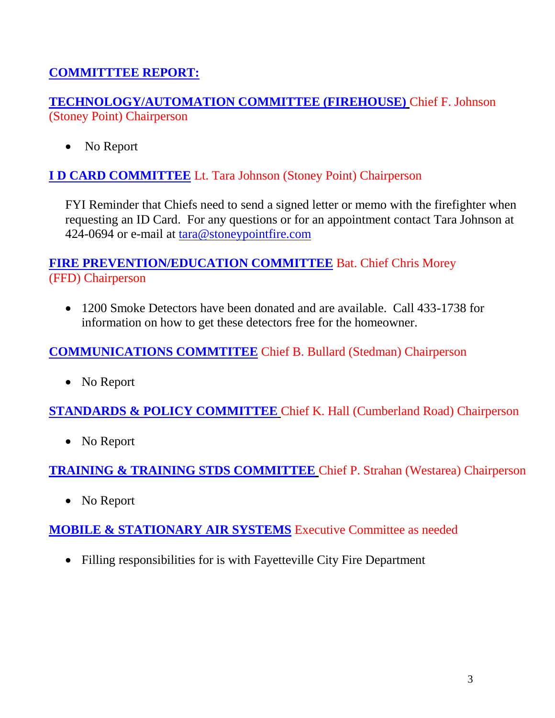# **COMMITTTEE REPORT:**

### **TECHNOLOGY/AUTOMATION COMMITTEE (FIREHOUSE)** Chief F. Johnson (Stoney Point) Chairperson

• No Report

## **I D CARD COMMITTEE** Lt. Tara Johnson (Stoney Point) Chairperson

FYI Reminder that Chiefs need to send a signed letter or memo with the firefighter when requesting an ID Card. For any questions or for an appointment contact Tara Johnson at 424-0694 or e-mail at [tara@stoneypointfire.com](mailto:tara@stoneypointfire.com)

## **FIRE PREVENTION/EDUCATION COMMITTEE** Bat. Chief Chris Morey (FFD) Chairperson

• 1200 Smoke Detectors have been donated and are available. Call 433-1738 for information on how to get these detectors free for the homeowner.

## **COMMUNICATIONS COMMTITEE** Chief B. Bullard (Stedman) Chairperson

• No Report

**STANDARDS & POLICY COMMITTEE** Chief K. Hall (Cumberland Road) Chairperson

• No Report

**TRAINING & TRAINING STDS COMMITTEE** Chief P. Strahan (Westarea) Chairperson

• No Report

**MOBILE & STATIONARY AIR SYSTEMS** Executive Committee as needed

Filling responsibilities for is with Fayetteville City Fire Department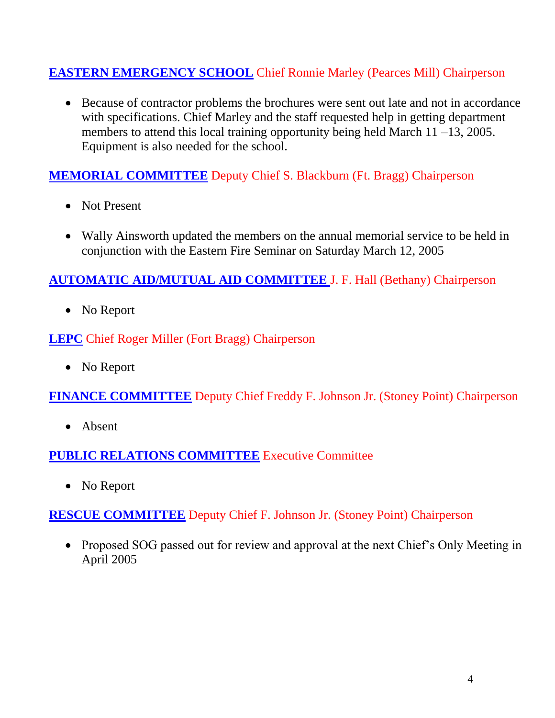## **EASTERN EMERGENCY SCHOOL** Chief Ronnie Marley (Pearces Mill) Chairperson

 Because of contractor problems the brochures were sent out late and not in accordance with specifications. Chief Marley and the staff requested help in getting department members to attend this local training opportunity being held March 11 –13, 2005. Equipment is also needed for the school.

## **MEMORIAL COMMITTEE** Deputy Chief S. Blackburn (Ft. Bragg) Chairperson

- Not Present
- Wally Ainsworth updated the members on the annual memorial service to be held in conjunction with the Eastern Fire Seminar on Saturday March 12, 2005

## **AUTOMATIC AID/MUTUAL AID COMMITTEE** J. F. Hall (Bethany) Chairperson

• No Report

## **LEPC** Chief Roger Miller (Fort Bragg) Chairperson

• No Report

**FINANCE COMMITTEE** Deputy Chief Freddy F. Johnson Jr. (Stoney Point) Chairperson

• Absent

## **PUBLIC RELATIONS COMMITTEE** Executive Committee

• No Report

**RESCUE COMMITTEE** Deputy Chief F. Johnson Jr. (Stoney Point) Chairperson

• Proposed SOG passed out for review and approval at the next Chief's Only Meeting in April 2005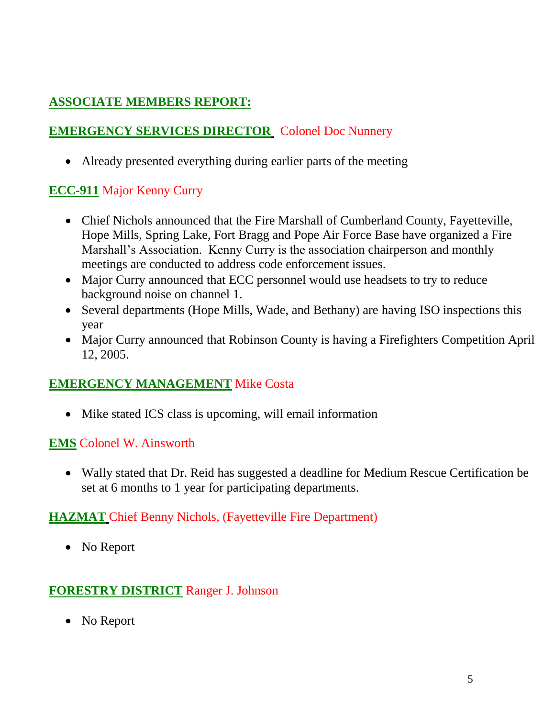# **ASSOCIATE MEMBERS REPORT:**

# **EMERGENCY SERVICES DIRECTOR** Colonel Doc Nunnery

Already presented everything during earlier parts of the meeting

## **ECC-911** Major Kenny Curry

- Chief Nichols announced that the Fire Marshall of Cumberland County, Fayetteville, Hope Mills, Spring Lake, Fort Bragg and Pope Air Force Base have organized a Fire Marshall's Association. Kenny Curry is the association chairperson and monthly meetings are conducted to address code enforcement issues.
- Major Curry announced that ECC personnel would use headsets to try to reduce background noise on channel 1.
- Several departments (Hope Mills, Wade, and Bethany) are having ISO inspections this year
- Major Curry announced that Robinson County is having a Firefighters Competition April 12, 2005.

## **EMERGENCY MANAGEMENT** Mike Costa

• Mike stated ICS class is upcoming, will email information

## **EMS** Colonel W. Ainsworth

 Wally stated that Dr. Reid has suggested a deadline for Medium Rescue Certification be set at 6 months to 1 year for participating departments.

### **HAZMAT** Chief Benny Nichols, (Fayetteville Fire Department)

• No Report

### **FORESTRY DISTRICT** Ranger J. Johnson

• No Report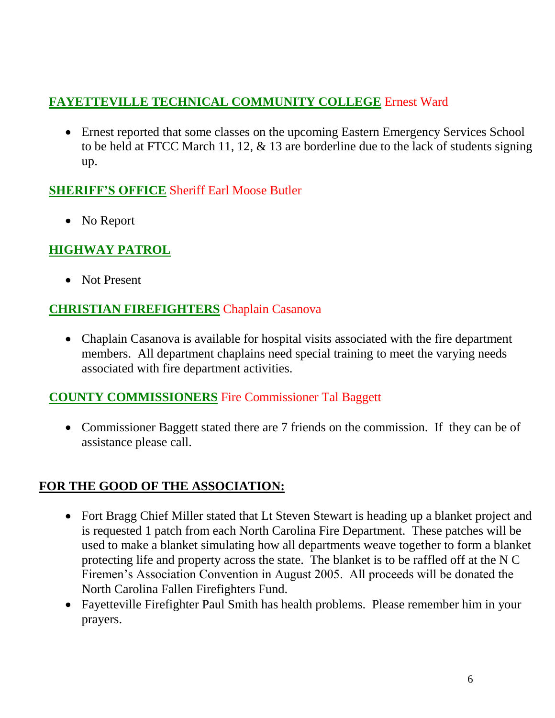# **FAYETTEVILLE TECHNICAL COMMUNITY COLLEGE** Ernest Ward

 Ernest reported that some classes on the upcoming Eastern Emergency Services School to be held at FTCC March 11, 12,  $\&$  13 are borderline due to the lack of students signing up.

### **SHERIFF'S OFFICE** Sheriff Earl Moose Butler

• No Report

## **HIGHWAY PATROL**

• Not Present

### **CHRISTIAN FIREFIGHTERS** Chaplain Casanova

• Chaplain Casanova is available for hospital visits associated with the fire department members. All department chaplains need special training to meet the varying needs associated with fire department activities.

### **COUNTY COMMISSIONERS** Fire Commissioner Tal Baggett

• Commissioner Baggett stated there are 7 friends on the commission. If they can be of assistance please call.

### **FOR THE GOOD OF THE ASSOCIATION:**

- Fort Bragg Chief Miller stated that Lt Steven Stewart is heading up a blanket project and is requested 1 patch from each North Carolina Fire Department. These patches will be used to make a blanket simulating how all departments weave together to form a blanket protecting life and property across the state. The blanket is to be raffled off at the N C Firemen's Association Convention in August 2005. All proceeds will be donated the North Carolina Fallen Firefighters Fund.
- Fayetteville Firefighter Paul Smith has health problems. Please remember him in your prayers.